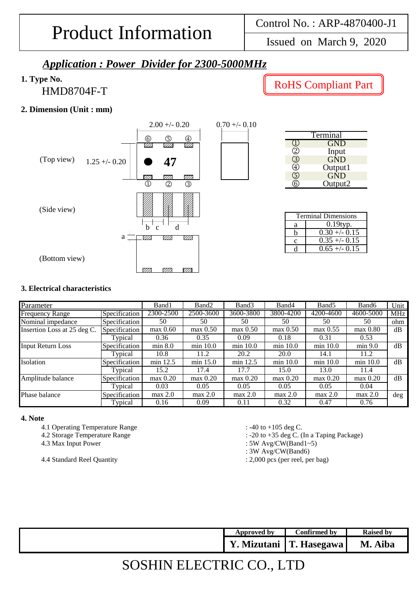Issued on March 9, 2020

### *Application : Power Divider for 2300-5000MHz*

### **1. Type No.**

HMD8704F-T

### **2. Dimension (Unit : mm)**



### RoHS Compliant Part

| Terminal |            |  |  |  |
|----------|------------|--|--|--|
|          | <b>GND</b> |  |  |  |
|          | Input      |  |  |  |
|          | <b>GND</b> |  |  |  |
|          | Output1    |  |  |  |
| 5)       | <b>GND</b> |  |  |  |
|          | Output2    |  |  |  |

| <b>Terminal Dimensions</b> |                |  |  |  |
|----------------------------|----------------|--|--|--|
| a                          | $0.19$ typ.    |  |  |  |
|                            | $0.30 + -0.15$ |  |  |  |
| с                          | $0.35 + -0.15$ |  |  |  |
|                            | $0.65 + -0.15$ |  |  |  |

#### **3. Electrical characteristics**

| Parameter                   |               | Band1      | Band <sub>2</sub> | Band3       | Band4       | Band <sub>5</sub> | Band <sub>6</sub> | Unit       |
|-----------------------------|---------------|------------|-------------------|-------------|-------------|-------------------|-------------------|------------|
| <b>Frequency Range</b>      | Specification | 2300-2500  | 2500-3600         | 3600-3800   | 3800-4200   | 4200-4600         | 4600-5000         | <b>MHz</b> |
| Nominal impedance           | Specification | 50         | 50                | 50          | 50          | 50                | 50                | ohm        |
| Insertion Loss at 25 deg C. | Specification | $max$ 0.60 | $max\ 0.50$       | $max$ 0.50  | max 0.50    | $max\ 0.55$       | $max$ 0.80        | dB         |
|                             | Typical       | 0.36       | 0.35              | 0.09        | 0.18        | 0.31              | 0.53              |            |
| <b>Input Return Loss</b>    | Specification | min 8.0    | $min$ 10.0        | $min$ 10.0  | min 10.0    | min 10.0          | min 9.0           | dB         |
|                             | Typical       | 10.8       | 11.2              | 20.2        | <b>20.0</b> | 14.1              | 11.2              |            |
| Isolation                   | Specification | min 12.5   | $min$ 15.0        | min 12.5    | min 10.0    | min 10.0          | min 10.0          | dB         |
|                             | Typical       | 15.2       | 17.4              | 17.7        | 15.0        | 13.0              | 11.4              |            |
| Amplitude balance           | Specification | $max$ 0.20 | $max\ 0.20$       | $max\ 0.20$ | $max$ 0.20  | $max$ 0.20        | $max$ 0.20        | dB         |
|                             | Typical       | 0.03       | 0.05              | 0.05        | 0.05        | 0.05              | 0.04              |            |
| Phase balance               | Specification | max 2.0    | max 2.0           | max 2.0     | max 2.0     | max 2.0           | max 2.0           | deg        |
|                             | Typical       | 0.16       | 0.09              | 0.11        | 0.32        | 0.47              | 0.76              |            |

#### **4. Note**

- 4.1 Operating Temperature Range : -40 to +105 deg C.
- 

4.4 Standard Reel Quantity : 2,000 pcs (per reel, per bag)

- 
- 4.2 Storage Temperature Range  $\cdot$  -20 to +35 deg C. (In a Taping Package)
- 4.3 Max Input Power : 5W Avg/CW(Band1~5)
	- : 3W Avg/CW(Band6)
	-

| Approved by | Confirmed by | <b>Raised by</b> |
|-------------|--------------|------------------|
| Mizutani    | T. Hasegawa  | M. Aiba          |

## SOSHIN ELECTRIC CO., LTD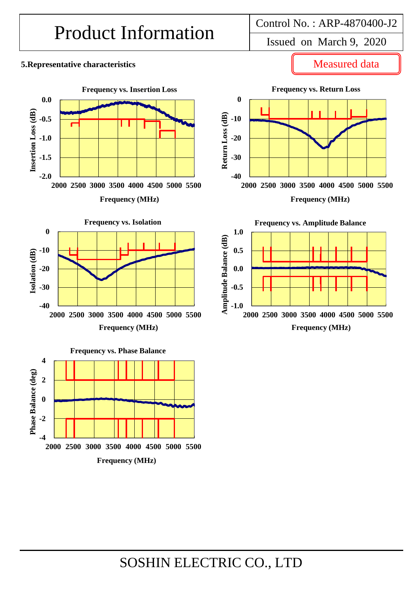# Product Information <br>Issued on March 9, 2020

### **5.Representative characteristics**



**Frequency vs. Phase Balance 4** Phase Balance (deg) **Phase Balance (deg) 2 0 -2 -4 2000 2500 3000 3500 4000 4500 5000 5500 Frequency (MHz)**

Measured data